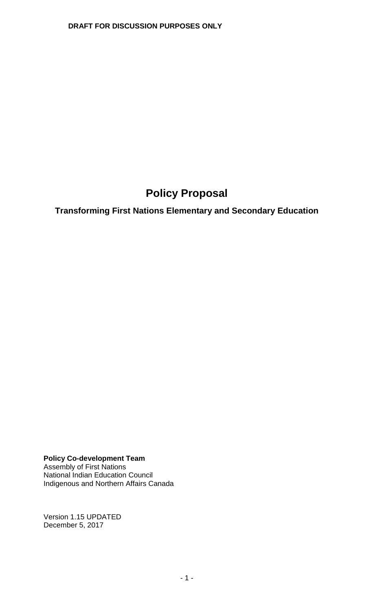# **Policy Proposal**

**Transforming First Nations Elementary and Secondary Education** 

**Policy Co-development Team** Assembly of First Nations National Indian Education Council Indigenous and Northern Affairs Canada

Version 1.15 UPDATED December 5, 2017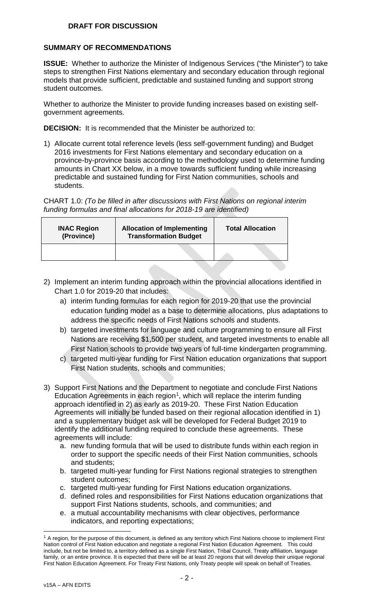## **SUMMARY OF RECOMMENDATIONS**

**ISSUE:** Whether to authorize the Minister of Indigenous Services ("the Minister") to take steps to strengthen First Nations elementary and secondary education through regional models that provide sufficient, predictable and sustained funding and support strong student outcomes.

Whether to authorize the Minister to provide funding increases based on existing selfgovernment agreements.

**DECISION:** It is recommended that the Minister be authorized to:

1) Allocate current total reference levels (less self-government funding) and Budget 2016 investments for First Nations elementary and secondary education on a province-by-province basis according to the methodology used to determine funding amounts in Chart XX below, in a move towards sufficient funding while increasing predictable and sustained funding for First Nation communities, schools and students.

CHART 1.0: *(To be filled in after discussions with First Nations on regional interim funding formulas and final allocations for 2018-19 are identified)*

| <b>INAC Region</b><br>(Province) | <b>Allocation of Implementing</b><br><b>Transformation Budget</b> | <b>Total Allocation</b> |
|----------------------------------|-------------------------------------------------------------------|-------------------------|
|                                  |                                                                   |                         |

- 2) Implement an interim funding approach within the provincial allocations identified in Chart 1.0 for 2019-20 that includes:
	- a) interim funding formulas for each region for 2019-20 that use the provincial education funding model as a base to determine allocations, plus adaptations to address the specific needs of First Nations schools and students.
	- b) targeted investments for language and culture programming to ensure all First Nations are receiving \$1,500 per student, and targeted investments to enable all First Nation schools to provide two years of full-time kindergarten programming.
	- c) targeted multi-year funding for First Nation education organizations that support First Nation students, schools and communities;
- 3) Support First Nations and the Department to negotiate and conclude First Nations Education Agreements in each region<sup>[1](#page-1-0)</sup>, which will replace the interim funding approach identified in 2) as early as 2019-20. These First Nation Education Agreements will initially be funded based on their regional allocation identified in 1) and a supplementary budget ask will be developed for Federal Budget 2019 to identify the additional funding required to conclude these agreements. These agreements will include:
	- a. new funding formula that will be used to distribute funds within each region in order to support the specific needs of their First Nation communities, schools and students;
	- b. targeted multi-year funding for First Nations regional strategies to strengthen student outcomes;
	- c. targeted multi-year funding for First Nations education organizations.
	- d. defined roles and responsibilities for First Nations education organizations that support First Nations students, schools, and communities; and
	- e. a mutual accountability mechanisms with clear objectives, performance indicators, and reporting expectations;

<span id="page-1-0"></span><sup>&</sup>lt;sup>1</sup> A region, for the purpose of this document, is defined as any territory which First Nations choose to implement First Nation control of First Nation education and negotiate a regional First Nation Education Agreement. This could include, but not be limited to, a territory defined as a single First Nation, Tribal Council, Treaty affiliation, language family, or an entire province. It is expected that there will be at least 20 regions that will develop their unique regional First Nation Education Agreement. For Treaty First Nations, only Treaty people will speak on behalf of Treaties.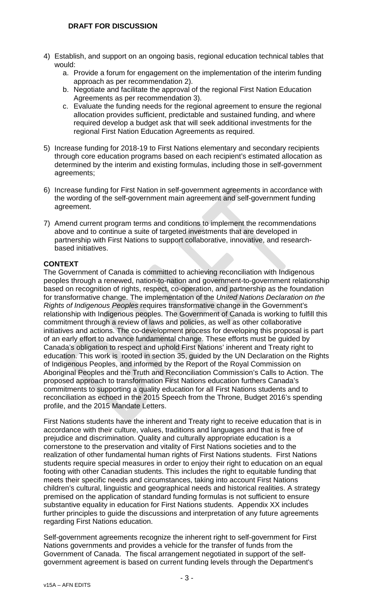- 4) Establish, and support on an ongoing basis, regional education technical tables that would:
	- a. Provide a forum for engagement on the implementation of the interim funding approach as per recommendation 2).
	- b. Negotiate and facilitate the approval of the regional First Nation Education Agreements as per recommendation 3).
	- c. Evaluate the funding needs for the regional agreement to ensure the regional allocation provides sufficient, predictable and sustained funding, and where required develop a budget ask that will seek additional investments for the regional First Nation Education Agreements as required.
- 5) Increase funding for 2018-19 to First Nations elementary and secondary recipients through core education programs based on each recipient's estimated allocation as determined by the interim and existing formulas, including those in self-government agreements;
- 6) Increase funding for First Nation in self-government agreements in accordance with the wording of the self-government main agreement and self-government funding agreement.
- 7) Amend current program terms and conditions to implement the recommendations above and to continue a suite of targeted investments that are developed in partnership with First Nations to support collaborative, innovative, and researchbased initiatives.

## **CONTEXT**

The Government of Canada is committed to achieving reconciliation with Indigenous peoples through a renewed, nation-to-nation and government-to-government relationship based on recognition of rights, respect, co-operation, and partnership as the foundation for transformative change. The implementation of the *United Nations Declaration on the Rights of Indigenous Peoples* requires transformative change in the Government's relationship with Indigenous peoples. The Government of Canada is working to fulfill this commitment through a review of laws and policies, as well as other collaborative initiatives and actions. The co-development process for developing this proposal is part of an early effort to advance fundamental change. These efforts must be guided by Canada's obligation to respect and uphold First Nations' inherent and Treaty right to education. This work is rooted in section 35, guided by the UN Declaration on the Rights of Indigenous Peoples, and informed by the Report of the Royal Commission on Aboriginal Peoples and the Truth and Reconciliation Commission's Calls to Action. The proposed approach to transformation First Nations education furthers Canada's commitments to supporting a quality education for all First Nations students and to reconciliation as echoed in the 2015 Speech from the Throne, Budget 2016's spending profile, and the 2015 Mandate Letters.

First Nations students have the inherent and Treaty right to receive education that is in accordance with their culture, values, traditions and languages and that is free of prejudice and discrimination. Quality and culturally appropriate education is a cornerstone to the preservation and vitality of First Nations societies and to the realization of other fundamental human rights of First Nations students. First Nations students require special measures in order to enjoy their right to education on an equal footing with other Canadian students. This includes the right to equitable funding that meets their specific needs and circumstances, taking into account First Nations children's cultural, linguistic and geographical needs and historical realities. A strategy premised on the application of standard funding formulas is not sufficient to ensure substantive equality in education for First Nations students. Appendix XX includes further principles to guide the discussions and interpretation of any future agreements regarding First Nations education.

Self-government agreements recognize the inherent right to self-government for First Nations governments and provides a vehicle for the transfer of funds from the Government of Canada. The fiscal arrangement negotiated in support of the selfgovernment agreement is based on current funding levels through the Department's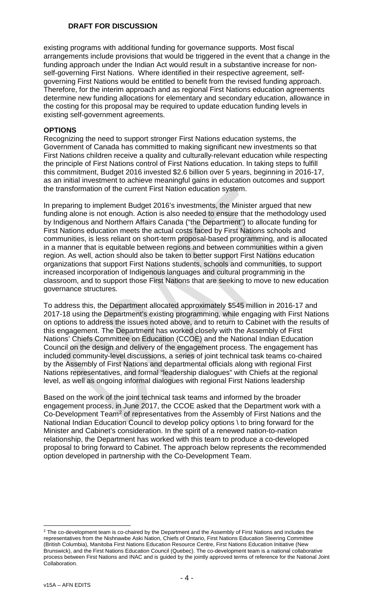existing programs with additional funding for governance supports. Most fiscal arrangements include provisions that would be triggered in the event that a change in the funding approach under the Indian Act would result in a substantive increase for nonself-governing First Nations. Where identified in their respective agreement, selfgoverning First Nations would be entitled to benefit from the revised funding approach. Therefore, for the interim approach and as regional First Nations education agreements determine new funding allocations for elementary and secondary education, allowance in the costing for this proposal may be required to update education funding levels in existing self-government agreements.

#### **OPTIONS**

Recognizing the need to support stronger First Nations education systems, the Government of Canada has committed to making significant new investments so that First Nations children receive a quality and culturally-relevant education while respecting the principle of First Nations control of First Nations education. In taking steps to fulfill this commitment, Budget 2016 invested \$2.6 billion over 5 years, beginning in 2016-17, as an initial investment to achieve meaningful gains in education outcomes and support the transformation of the current First Nation education system.

In preparing to implement Budget 2016's investments, the Minister argued that new funding alone is not enough. Action is also needed to ensure that the methodology used by Indigenous and Northern Affairs Canada ("the Department") to allocate funding for First Nations education meets the actual costs faced by First Nations schools and communities, is less reliant on short-term proposal-based programming, and is allocated in a manner that is equitable between regions and between communities within a given region. As well, action should also be taken to better support First Nations education organizations that support First Nations students, schools and communities, to support increased incorporation of Indigenous languages and cultural programming in the classroom, and to support those First Nations that are seeking to move to new education governance structures.

To address this, the Department allocated approximately \$545 million in 2016-17 and 2017-18 using the Department's existing programming, while engaging with First Nations on options to address the issues noted above, and to return to Cabinet with the results of this engagement. The Department has worked closely with the Assembly of First Nations' Chiefs Committee on Education (CCOE) and the National Indian Education Council on the design and delivery of the engagement process. The engagement has included community-level discussions, a series of joint technical task teams co-chaired by the Assembly of First Nations and departmental officials along with regional First Nations representatives, and formal "leadership dialogues" with Chiefs at the regional level, as well as ongoing informal dialogues with regional First Nations leadership

Based on the work of the joint technical task teams and informed by the broader engagement process, in June 2017, the CCOE asked that the Department work with a Co-Development Team<sup>[2](#page-3-0)</sup> of representatives from the Assembly of First Nations and the National Indian Education Council to develop policy options \ to bring forward for the Minister and Cabinet's consideration. In the spirit of a renewed nation-to-nation relationship, the Department has worked with this team to produce a co-developed proposal to bring forward to Cabinet. The approach below represents the recommended option developed in partnership with the Co-Development Team.

<span id="page-3-0"></span><sup>&</sup>lt;sup>2</sup> The co-development team is co-chaired by the Department and the Assembly of First Nations and includes the representatives from the Nishnawbe Aski Nation, Chiefs of Ontario, First Nations Education Steering Committee (British Columbia), Manitoba First Nations Education Resource Centre, First Nations Education Initiative (New Brunswick), and the First Nations Education Council (Quebec). The co-development team is a national collaborative process between First Nations and INAC and is guided by the jointly approved terms of reference for the National Joint Collaboration.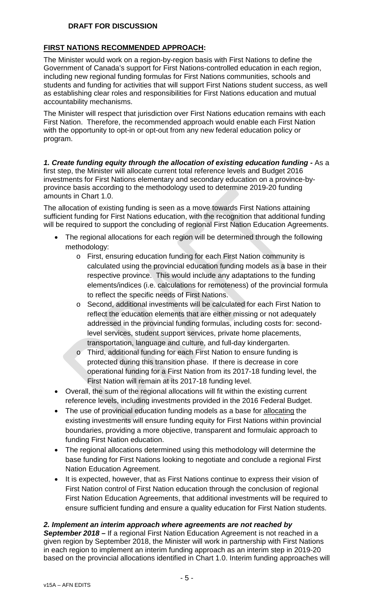## **FIRST NATIONS RECOMMENDED APPROACH:**

The Minister would work on a region-by-region basis with First Nations to define the Government of Canada's support for First Nations-controlled education in each region, including new regional funding formulas for First Nations communities, schools and students and funding for activities that will support First Nations student success, as well as establishing clear roles and responsibilities for First Nations education and mutual accountability mechanisms.

The Minister will respect that jurisdiction over First Nations education remains with each First Nation. Therefore, the recommended approach would enable each First Nation with the opportunity to opt-in or opt-out from any new federal education policy or program.

*1. Create funding equity through the allocation of existing education funding -* As a first step, the Minister will allocate current total reference levels and Budget 2016 investments for First Nations elementary and secondary education on a province-byprovince basis according to the methodology used to determine 2019-20 funding amounts in Chart 1.0.

The allocation of existing funding is seen as a move towards First Nations attaining sufficient funding for First Nations education, with the recognition that additional funding will be required to support the concluding of regional First Nation Education Agreements.

- The regional allocations for each region will be determined through the following methodology:
	- o First, ensuring education funding for each First Nation community is calculated using the provincial education funding models as a base in their respective province. This would include any adaptations to the funding elements/indices (i.e. calculations for remoteness) of the provincial formula to reflect the specific needs of First Nations.
	- o Second, additional investments will be calculated for each First Nation to reflect the education elements that are either missing or not adequately addressed in the provincial funding formulas, including costs for: secondlevel services, student support services, private home placements, transportation, language and culture, and full-day kindergarten.
	- o Third, additional funding for each First Nation to ensure funding is protected during this transition phase. If there is decrease in core operational funding for a First Nation from its 2017-18 funding level, the First Nation will remain at its 2017-18 funding level.
- Overall, the sum of the regional allocations will fit within the existing current reference levels, including investments provided in the 2016 Federal Budget.
- The use of provincial education funding models as a base for allocating the existing investments will ensure funding equity for First Nations within provincial boundaries, providing a more objective, transparent and formulaic approach to funding First Nation education.
- The regional allocations determined using this methodology will determine the base funding for First Nations looking to negotiate and conclude a regional First Nation Education Agreement.
- It is expected, however, that as First Nations continue to express their vision of First Nation control of First Nation education through the conclusion of regional First Nation Education Agreements, that additional investments will be required to ensure sufficient funding and ensure a quality education for First Nation students.

### *2. Implement an interim approach where agreements are not reached by*

*September 2018 –* If a regional First Nation Education Agreement is not reached in a given region by September 2018, the Minister will work in partnership with First Nations in each region to implement an interim funding approach as an interim step in 2019-20 based on the provincial allocations identified in Chart 1.0. Interim funding approaches will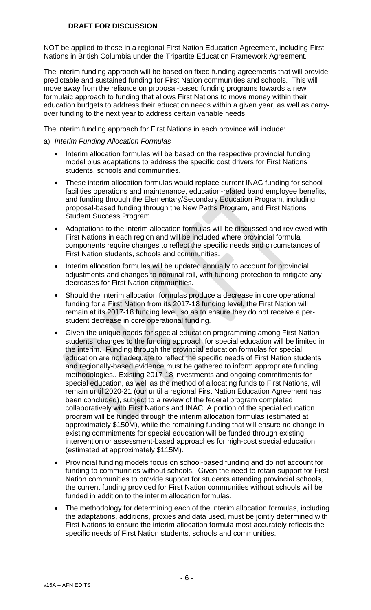NOT be applied to those in a regional First Nation Education Agreement, including First Nations in British Columbia under the Tripartite Education Framework Agreement.

The interim funding approach will be based on fixed funding agreements that will provide predictable and sustained funding for First Nation communities and schools. This will move away from the reliance on proposal-based funding programs towards a new formulaic approach to funding that allows First Nations to move money within their education budgets to address their education needs within a given year, as well as carryover funding to the next year to address certain variable needs.

The interim funding approach for First Nations in each province will include:

- a) *Interim Funding Allocation Formulas*
	- Interim allocation formulas will be based on the respective provincial funding model plus adaptations to address the specific cost drivers for First Nations students, schools and communities.
	- These interim allocation formulas would replace current INAC funding for school facilities operations and maintenance, education-related band employee benefits, and funding through the Elementary/Secondary Education Program, including proposal-based funding through the New Paths Program, and First Nations Student Success Program.
	- Adaptations to the interim allocation formulas will be discussed and reviewed with First Nations in each region and will be included where provincial formula components require changes to reflect the specific needs and circumstances of First Nation students, schools and communities.
	- Interim allocation formulas will be updated annually to account for provincial adjustments and changes to nominal roll, with funding protection to mitigate any decreases for First Nation communities.
	- Should the interim allocation formulas produce a decrease in core operational funding for a First Nation from its 2017-18 funding level, the First Nation will remain at its 2017-18 funding level, so as to ensure they do not receive a perstudent decrease in core operational funding.
	- Given the unique needs for special education programming among First Nation students, changes to the funding approach for special education will be limited in the interim. Funding through the provincial education formulas for special education are not adequate to reflect the specific needs of First Nation students and regionally-based evidence must be gathered to inform appropriate funding methodologies.. Existing 2017-18 investments and ongoing commitments for special education, as well as the method of allocating funds to First Nations, will remain until 2020-21 (our until a regional First Nation Education Agreement has been concluded), subject to a review of the federal program completed collaboratively with First Nations and INAC. A portion of the special education program will be funded through the interim allocation formulas (estimated at approximately \$150M), while the remaining funding that will ensure no change in existing commitments for special education will be funded through existing intervention or assessment-based approaches for high-cost special education (estimated at approximately \$115M).
	- Provincial funding models focus on school-based funding and do not account for funding to communities without schools. Given the need to retain support for First Nation communities to provide support for students attending provincial schools, the current funding provided for First Nation communities without schools will be funded in addition to the interim allocation formulas.
	- The methodology for determining each of the interim allocation formulas, including the adaptations, additions, proxies and data used, must be jointly determined with First Nations to ensure the interim allocation formula most accurately reflects the specific needs of First Nation students, schools and communities.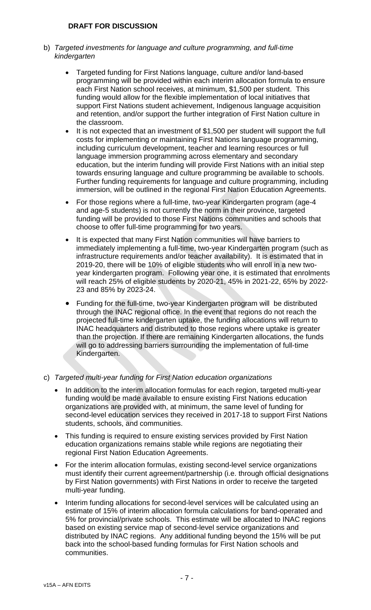- b) *Targeted investments for language and culture programming, and full-time kindergarten*
	- Targeted funding for First Nations language, culture and/or land-based programming will be provided within each interim allocation formula to ensure each First Nation school receives, at minimum, \$1,500 per student. This funding would allow for the flexible implementation of local initiatives that support First Nations student achievement, Indigenous language acquisition and retention, and/or support the further integration of First Nation culture in the classroom.
	- It is not expected that an investment of \$1,500 per student will support the full costs for implementing or maintaining First Nations language programming, including curriculum development, teacher and learning resources or full language immersion programming across elementary and secondary education, but the interim funding will provide First Nations with an initial step towards ensuring language and culture programming be available to schools. Further funding requirements for language and culture programming, including immersion, will be outlined in the regional First Nation Education Agreements.
	- For those regions where a full-time, two-year Kindergarten program (age-4 and age-5 students) is not currently the norm in their province, targeted funding will be provided to those First Nations communities and schools that choose to offer full-time programming for two years.
	- It is expected that many First Nation communities will have barriers to immediately implementing a full-time, two-year Kindergarten program (such as infrastructure requirements and/or teacher availability). It is estimated that in 2019-20, there will be 10% of eligible students who will enroll in a new twoyear kindergarten program. Following year one, it is estimated that enrolments will reach 25% of eligible students by 2020-21, 45% in 2021-22, 65% by 2022- 23 and 85% by 2023-24.
	- Funding for the full-time, two-year Kindergarten program will be distributed through the INAC regional office. In the event that regions do not reach the projected full-time kindergarten uptake, the funding allocations will return to INAC headquarters and distributed to those regions where uptake is greater than the projection. If there are remaining Kindergarten allocations, the funds will go to addressing barriers surrounding the implementation of full-time Kindergarten.

## c) *Targeted multi-year funding for First Nation education organizations*

- In addition to the interim allocation formulas for each region, targeted multi-year funding would be made available to ensure existing First Nations education organizations are provided with, at minimum, the same level of funding for second-level education services they received in 2017-18 to support First Nations students, schools, and communities.
- This funding is required to ensure existing services provided by First Nation education organizations remains stable while regions are negotiating their regional First Nation Education Agreements.
- For the interim allocation formulas, existing second-level service organizations must identify their current agreement/partnership (i.e. through official designations by First Nation governments) with First Nations in order to receive the targeted multi-year funding.
- Interim funding allocations for second-level services will be calculated using an estimate of 15% of interim allocation formula calculations for band-operated and 5% for provincial/private schools. This estimate will be allocated to INAC regions based on existing service map of second-level service organizations and distributed by INAC regions. Any additional funding beyond the 15% will be put back into the school-based funding formulas for First Nation schools and communities.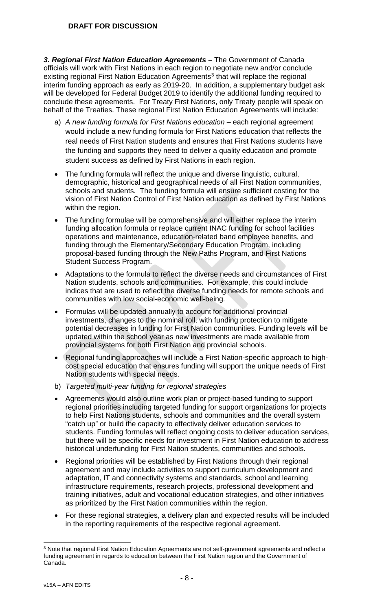*3. Regional First Nation Education Agreements –* The Government of Canada officials will work with First Nations in each region to negotiate new and/or conclude existing regional First Nation Education Agreements<sup>[3](#page-7-0)</sup> that will replace the regional interim funding approach as early as 2019-20. In addition, a supplementary budget ask will be developed for Federal Budget 2019 to identify the additional funding required to conclude these agreements. For Treaty First Nations, only Treaty people will speak on behalf of the Treaties. These regional First Nation Education Agreements will include:

- a) *A new funding formula for First Nations education –* each regional agreement would include a new funding formula for First Nations education that reflects the real needs of First Nation students and ensures that First Nations students have the funding and supports they need to deliver a quality education and promote student success as defined by First Nations in each region.
- The funding formula will reflect the unique and diverse linguistic, cultural, demographic, historical and geographical needs of all First Nation communities, schools and students. The funding formula will ensure sufficient costing for the vision of First Nation Control of First Nation education as defined by First Nations within the region.
- The funding formulae will be comprehensive and will either replace the interim funding allocation formula or replace current INAC funding for school facilities operations and maintenance, education-related band employee benefits, and funding through the Elementary/Secondary Education Program, including proposal-based funding through the New Paths Program, and First Nations Student Success Program.
- Adaptations to the formula to reflect the diverse needs and circumstances of First Nation students, schools and communities. For example, this could include indices that are used to reflect the diverse funding needs for remote schools and communities with low social-economic well-being.
- Formulas will be updated annually to account for additional provincial investments, changes to the nominal roll, with funding protection to mitigate potential decreases in funding for First Nation communities. Funding levels will be updated within the school year as new investments are made available from provincial systems for both First Nation and provincial schools.
- Regional funding approaches will include a First Nation-specific approach to highcost special education that ensures funding will support the unique needs of First Nation students with special needs.
- b) *Targeted multi-year funding for regional strategies*
- Agreements would also outline work plan or project-based funding to support regional priorities including targeted funding for support organizations for projects to help First Nations students, schools and communities and the overall system "catch up" or build the capacity to effectively deliver education services to students. Funding formulas will reflect ongoing costs to deliver education services, but there will be specific needs for investment in First Nation education to address historical underfunding for First Nation students, communities and schools.
- Regional priorities will be established by First Nations through their regional agreement and may include activities to support curriculum development and adaptation, IT and connectivity systems and standards, school and learning infrastructure requirements, research projects, professional development and training initiatives, adult and vocational education strategies, and other initiatives as prioritized by the First Nation communities within the region.
- For these regional strategies, a delivery plan and expected results will be included in the reporting requirements of the respective regional agreement.

<span id="page-7-0"></span> <sup>3</sup> Note that regional First Nation Education Agreements are not self-government agreements and reflect a funding agreement in regards to education between the First Nation region and the Government of Canada.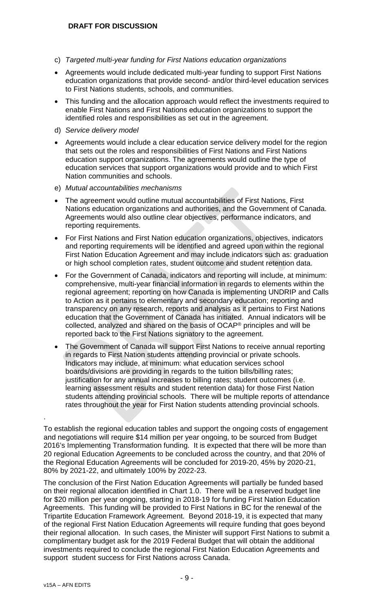- c) *Targeted multi-year funding for First Nations education organizations*
- Agreements would include dedicated multi-year funding to support First Nations education organizations that provide second- and/or third-level education services to First Nations students, schools, and communities.
- This funding and the allocation approach would reflect the investments required to enable First Nations and First Nations education organizations to support the identified roles and responsibilities as set out in the agreement.
- d) *Service delivery model*
- Agreements would include a clear education service delivery model for the region that sets out the roles and responsibilities of First Nations and First Nations education support organizations. The agreements would outline the type of education services that support organizations would provide and to which First Nation communities and schools.
- e) *Mutual accountabilities mechanisms*
- The agreement would outline mutual accountabilities of First Nations, First Nations education organizations and authorities, and the Government of Canada. Agreements would also outline clear objectives, performance indicators, and reporting requirements.
- For First Nations and First Nation education organizations, objectives, indicators and reporting requirements will be identified and agreed upon within the regional First Nation Education Agreement and may include indicators such as: graduation or high school completion rates, student outcome and student retention data.
- For the Government of Canada, indicators and reporting will include, at minimum: comprehensive, multi-year financial information in regards to elements within the regional agreement; reporting on how Canada is implementing UNDRIP and Calls to Action as it pertains to elementary and secondary education; reporting and transparency on any research, reports and analysis as it pertains to First Nations education that the Government of Canada has initiated. Annual indicators will be collected, analyzed and shared on the basis of OCAP® principles and will be reported back to the First Nations signatory to the agreement.
- The Government of Canada will support First Nations to receive annual reporting in regards to First Nation students attending provincial or private schools. Indicators may include, at minimum: what education services school boards/divisions are providing in regards to the tuition bills/billing rates; justification for any annual increases to billing rates; student outcomes (i.e. learning assessment results and student retention data) for those First Nation students attending provincial schools. There will be multiple reports of attendance rates throughout the year for First Nation students attending provincial schools.

.

To establish the regional education tables and support the ongoing costs of engagement and negotiations will require \$14 million per year ongoing, to be sourced from Budget 2016's Implementing Transformation funding. It is expected that there will be more than 20 regional Education Agreements to be concluded across the country, and that 20% of the Regional Education Agreements will be concluded for 2019-20, 45% by 2020-21, 80% by 2021-22, and ultimately 100% by 2022-23.

The conclusion of the First Nation Education Agreements will partially be funded based on their regional allocation identified in Chart 1.0. There will be a reserved budget line for \$20 million per year ongoing, starting in 2018-19 for funding First Nation Education Agreements. This funding will be provided to First Nations in BC for the renewal of the Tripartite Education Framework Agreement. Beyond 2018-19, it is expected that many of the regional First Nation Education Agreements will require funding that goes beyond their regional allocation. In such cases, the Minister will support First Nations to submit a complimentary budget ask for the 2019 Federal Budget that will obtain the additional investments required to conclude the regional First Nation Education Agreements and support student success for First Nations across Canada.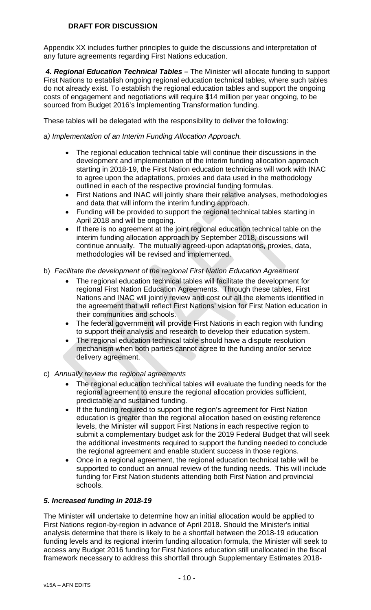Appendix XX includes further principles to guide the discussions and interpretation of any future agreements regarding First Nations education.

*4. Regional Education Technical Tables –* The Minister will allocate funding to support First Nations to establish ongoing regional education technical tables, where such tables do not already exist. To establish the regional education tables and support the ongoing costs of engagement and negotiations will require \$14 million per year ongoing, to be sourced from Budget 2016's Implementing Transformation funding.

These tables will be delegated with the responsibility to deliver the following:

#### *a) Implementation of an Interim Funding Allocation Approach.*

- The regional education technical table will continue their discussions in the development and implementation of the interim funding allocation approach starting in 2018-19, the First Nation education technicians will work with INAC to agree upon the adaptations, proxies and data used in the methodology outlined in each of the respective provincial funding formulas.
- First Nations and INAC will jointly share their relative analyses, methodologies and data that will inform the interim funding approach.
- Funding will be provided to support the regional technical tables starting in April 2018 and will be ongoing.
- If there is no agreement at the joint regional education technical table on the interim funding allocation approach by September 2018, discussions will continue annually. The mutually agreed-upon adaptations, proxies, data, methodologies will be revised and implemented.
- b) *Facilitate the development of the regional First Nation Education Agreement*
	- The regional education technical tables will facilitate the development for regional First Nation Education Agreements. Through these tables, First Nations and INAC will jointly review and cost out all the elements identified in the agreement that will reflect First Nations' vision for First Nation education in their communities and schools.
	- The federal government will provide First Nations in each region with funding to support their analysis and research to develop their education system.
	- The regional education technical table should have a dispute resolution mechanism when both parties cannot agree to the funding and/or service delivery agreement.
- c) *Annually review the regional agreements*
	- The regional education technical tables will evaluate the funding needs for the regional agreement to ensure the regional allocation provides sufficient, predictable and sustained funding.
	- If the funding required to support the region's agreement for First Nation education is greater than the regional allocation based on existing reference levels, the Minister will support First Nations in each respective region to submit a complementary budget ask for the 2019 Federal Budget that will seek the additional investments required to support the funding needed to conclude the regional agreement and enable student success in those regions.
	- Once in a regional agreement, the regional education technical table will be supported to conduct an annual review of the funding needs. This will include funding for First Nation students attending both First Nation and provincial schools.

### *5. Increased funding in 2018-19*

The Minister will undertake to determine how an initial allocation would be applied to First Nations region-by-region in advance of April 2018. Should the Minister's initial analysis determine that there is likely to be a shortfall between the 2018-19 education funding levels and its regional interim funding allocation formula, the Minister will seek to access any Budget 2016 funding for First Nations education still unallocated in the fiscal framework necessary to address this shortfall through Supplementary Estimates 2018-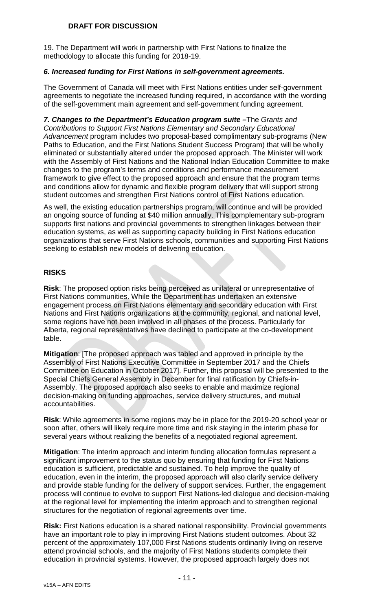19. The Department will work in partnership with First Nations to finalize the methodology to allocate this funding for 2018-19.

### *6. Increased funding for First Nations in self-government agreements.*

The Government of Canada will meet with First Nations entities under self-government agreements to negotiate the increased funding required, in accordance with the wording of the self-government main agreement and self-government funding agreement.

*7. Changes to the Department's Education program suite –*The *Grants and Contributions to Support First Nations Elementary and Secondary Educational Advancement* program includes two proposal-based complimentary sub-programs (New Paths to Education, and the First Nations Student Success Program) that will be wholly eliminated or substantially altered under the proposed approach. The Minister will work with the Assembly of First Nations and the National Indian Education Committee to make changes to the program's terms and conditions and performance measurement framework to give effect to the proposed approach and ensure that the program terms and conditions allow for dynamic and flexible program delivery that will support strong student outcomes and strengthen First Nations control of First Nations education.

As well, the existing education partnerships program, will continue and will be provided an ongoing source of funding at \$40 million annually. This complementary sub-program supports first nations and provincial governments to strengthen linkages between their education systems, as well as supporting capacity building in First Nations education organizations that serve First Nations schools, communities and supporting First Nations seeking to establish new models of delivering education.

### **RISKS**

**Risk**: The proposed option risks being perceived as unilateral or unrepresentative of First Nations communities. While the Department has undertaken an extensive engagement process on First Nations elementary and secondary education with First Nations and First Nations organizations at the community, regional, and national level, some regions have not been involved in all phases of the process. Particularly for Alberta, regional representatives have declined to participate at the co-development table.

**Mitigation**: [The proposed approach was tabled and approved in principle by the Assembly of First Nations Executive Committee in September 2017 and the Chiefs Committee on Education in October 2017]. Further, this proposal will be presented to the Special Chiefs General Assembly in December for final ratification by Chiefs-in-Assembly. The proposed approach also seeks to enable and maximize regional decision-making on funding approaches, service delivery structures, and mutual accountabilities.

**Risk**: While agreements in some regions may be in place for the 2019-20 school year or soon after, others will likely require more time and risk staying in the interim phase for several years without realizing the benefits of a negotiated regional agreement.

**Mitigation**: The interim approach and interim funding allocation formulas represent a significant improvement to the status quo by ensuring that funding for First Nations education is sufficient, predictable and sustained. To help improve the quality of education, even in the interim, the proposed approach will also clarify service delivery and provide stable funding for the delivery of support services. Further, the engagement process will continue to evolve to support First Nations-led dialogue and decision-making at the regional level for implementing the interim approach and to strengthen regional structures for the negotiation of regional agreements over time.

**Risk:** First Nations education is a shared national responsibility. Provincial governments have an important role to play in improving First Nations student outcomes. About 32 percent of the approximately 107,000 First Nations students ordinarily living on reserve attend provincial schools, and the majority of First Nations students complete their education in provincial systems. However, the proposed approach largely does not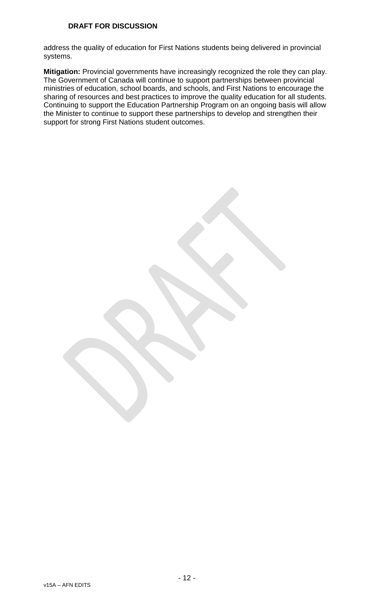address the quality of education for First Nations students being delivered in provincial systems.

**Mitigation:** Provincial governments have increasingly recognized the role they can play. The Government of Canada will continue to support partnerships between provincial ministries of education, school boards, and schools, and First Nations to encourage the sharing of resources and best practices to improve the quality education for all students. Continuing to support the Education Partnership Program on an ongoing basis will allow the Minister to continue to support these partnerships to develop and strengthen their support for strong First Nations student outcomes.